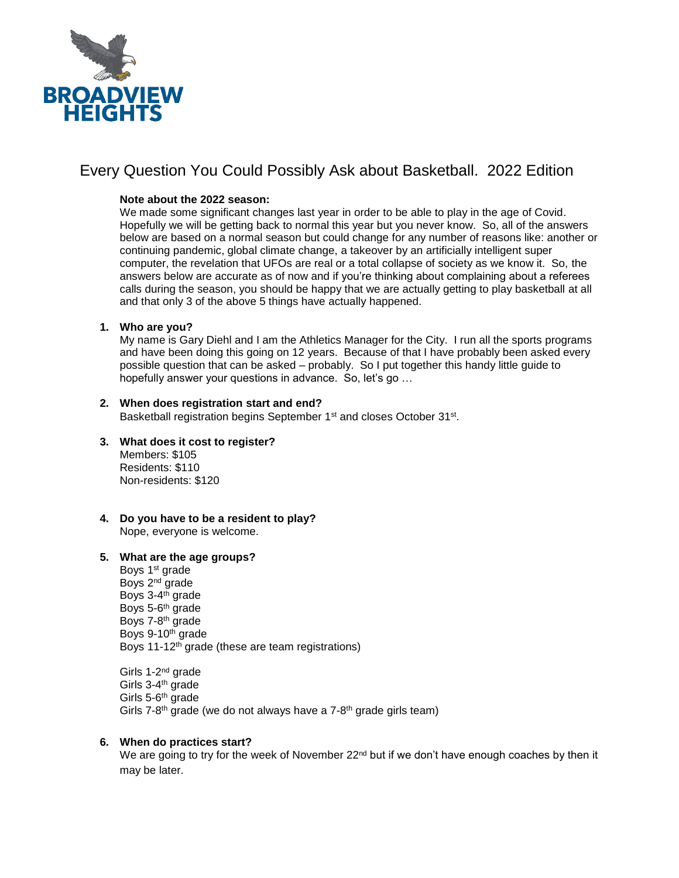

## Every Question You Could Possibly Ask about Basketball. 2022 Edition

## **Note about the 2022 season:**

We made some significant changes last year in order to be able to play in the age of Covid. Hopefully we will be getting back to normal this year but you never know. So, all of the answers below are based on a normal season but could change for any number of reasons like: another or continuing pandemic, global climate change, a takeover by an artificially intelligent super computer, the revelation that UFOs are real or a total collapse of society as we know it. So, the answers below are accurate as of now and if you're thinking about complaining about a referees calls during the season, you should be happy that we are actually getting to play basketball at all and that only 3 of the above 5 things have actually happened.

#### **1. Who are you?**

My name is Gary Diehl and I am the Athletics Manager for the City. I run all the sports programs and have been doing this going on 12 years. Because of that I have probably been asked every possible question that can be asked – probably. So I put together this handy little guide to hopefully answer your questions in advance. So, let's go …

## **2. When does registration start and end?**

Basketball registration begins September 1<sup>st</sup> and closes October 31<sup>st</sup>.

- **3. What does it cost to register?** Members: \$105 Residents: \$110 Non-residents: \$120
- **4. Do you have to be a resident to play?** Nope, everyone is welcome.

#### **5. What are the age groups?**

Boys 1<sup>st</sup> grade Boys 2nd grade Boys 3-4<sup>th</sup> grade Boys 5-6<sup>th</sup> grade Boys 7-8<sup>th</sup> grade Boys 9-10th grade Boys 11-12th grade (these are team registrations)

Girls 1-2<sup>nd</sup> grade Girls 3-4<sup>th</sup> grade Girls 5-6<sup>th</sup> grade Girls 7-8<sup>th</sup> grade (we do not always have a 7-8<sup>th</sup> grade girls team)

#### **6. When do practices start?**

We are going to try for the week of November 22<sup>nd</sup> but if we don't have enough coaches by then it may be later.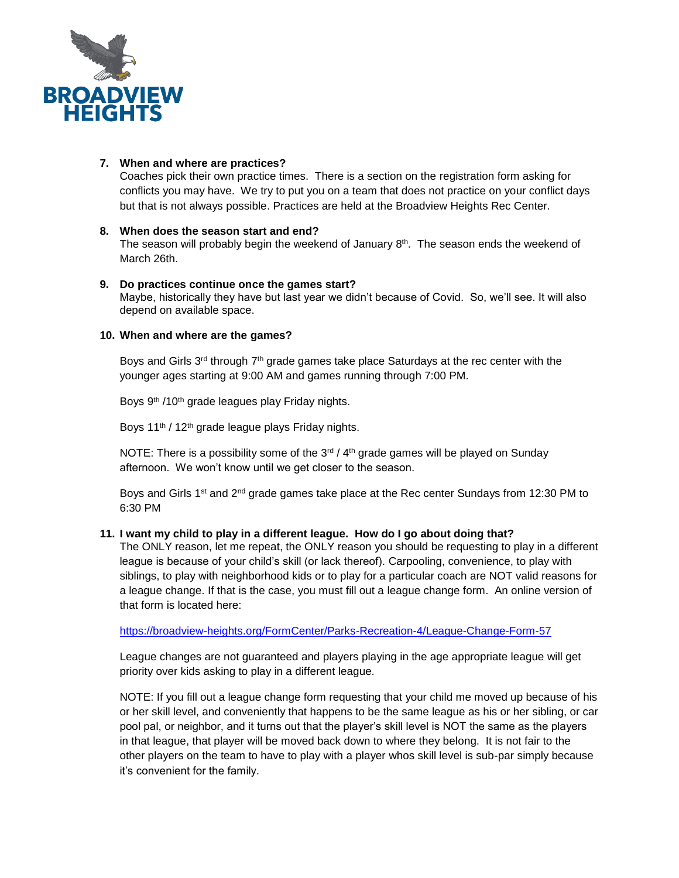

## **7. When and where are practices?**

Coaches pick their own practice times. There is a section on the registration form asking for conflicts you may have. We try to put you on a team that does not practice on your conflict days but that is not always possible. Practices are held at the Broadview Heights Rec Center.

## **8. When does the season start and end?**

The season will probably begin the weekend of January  $8<sup>th</sup>$ . The season ends the weekend of March 26th.

## **9. Do practices continue once the games start?**

Maybe, historically they have but last year we didn't because of Covid. So, we'll see. It will also depend on available space.

## **10. When and where are the games?**

Boys and Girls  $3<sup>rd</sup>$  through  $7<sup>th</sup>$  grade games take place Saturdays at the rec center with the younger ages starting at 9:00 AM and games running through 7:00 PM.

Boys 9<sup>th</sup> /10<sup>th</sup> grade leagues play Friday nights.

Boys 11<sup>th</sup> / 12<sup>th</sup> grade league plays Friday nights.

NOTE: There is a possibility some of the  $3<sup>rd</sup> / 4<sup>th</sup>$  grade games will be played on Sunday afternoon. We won't know until we get closer to the season.

Boys and Girls 1<sup>st</sup> and 2<sup>nd</sup> grade games take place at the Rec center Sundays from 12:30 PM to 6:30 PM

## **11. I want my child to play in a different league. How do I go about doing that?**

The ONLY reason, let me repeat, the ONLY reason you should be requesting to play in a different league is because of your child's skill (or lack thereof). Carpooling, convenience, to play with siblings, to play with neighborhood kids or to play for a particular coach are NOT valid reasons for a league change. If that is the case, you must fill out a league change form. An online version of that form is located here:

<https://broadview-heights.org/FormCenter/Parks-Recreation-4/League-Change-Form-57>

League changes are not guaranteed and players playing in the age appropriate league will get priority over kids asking to play in a different league.

NOTE: If you fill out a league change form requesting that your child me moved up because of his or her skill level, and conveniently that happens to be the same league as his or her sibling, or car pool pal, or neighbor, and it turns out that the player's skill level is NOT the same as the players in that league, that player will be moved back down to where they belong. It is not fair to the other players on the team to have to play with a player whos skill level is sub-par simply because it's convenient for the family.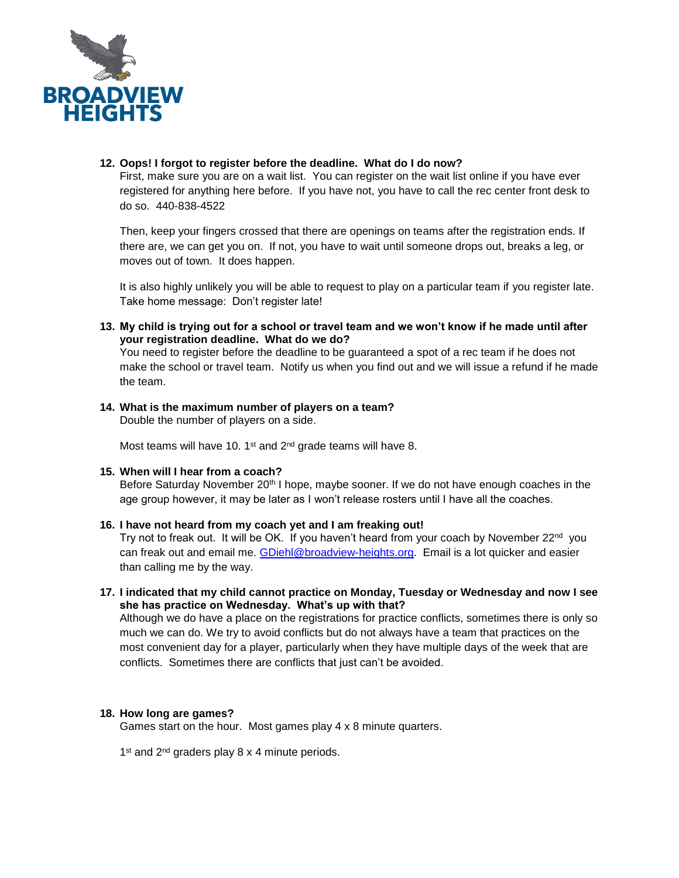

### **12. Oops! I forgot to register before the deadline. What do I do now?**

First, make sure you are on a wait list. You can register on the wait list online if you have ever registered for anything here before. If you have not, you have to call the rec center front desk to do so. 440-838-4522

Then, keep your fingers crossed that there are openings on teams after the registration ends. If there are, we can get you on. If not, you have to wait until someone drops out, breaks a leg, or moves out of town. It does happen.

It is also highly unlikely you will be able to request to play on a particular team if you register late. Take home message: Don't register late!

**13. My child is trying out for a school or travel team and we won't know if he made until after your registration deadline. What do we do?**

You need to register before the deadline to be guaranteed a spot of a rec team if he does not make the school or travel team. Notify us when you find out and we will issue a refund if he made the team.

**14. What is the maximum number of players on a team?** Double the number of players on a side.

Most teams will have 10. 1<sup>st</sup> and 2<sup>nd</sup> grade teams will have 8.

#### **15. When will I hear from a coach?**

Before Saturday November 20<sup>th</sup> I hope, maybe sooner. If we do not have enough coaches in the age group however, it may be later as I won't release rosters until I have all the coaches.

## **16. I have not heard from my coach yet and I am freaking out!**

Try not to freak out. It will be OK. If you haven't heard from your coach by November 22<sup>nd</sup> you can freak out and email me. [GDiehl@broadview-heights.org.](mailto:GDiehl@broadview-heights.org) Email is a lot quicker and easier than calling me by the way.

**17. I indicated that my child cannot practice on Monday, Tuesday or Wednesday and now I see she has practice on Wednesday. What's up with that?**

Although we do have a place on the registrations for practice conflicts, sometimes there is only so much we can do. We try to avoid conflicts but do not always have a team that practices on the most convenient day for a player, particularly when they have multiple days of the week that are conflicts. Sometimes there are conflicts that just can't be avoided.

#### **18. How long are games?**

Games start on the hour. Most games play 4 x 8 minute quarters.

1<sup>st</sup> and 2<sup>nd</sup> graders play 8 x 4 minute periods.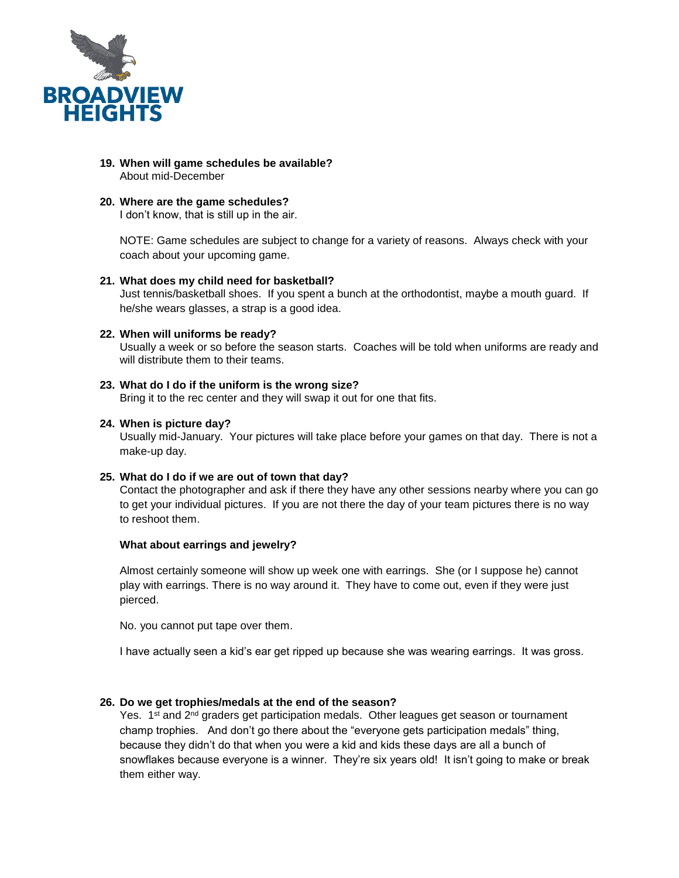

- **19. When will game schedules be available?** About mid-December
- **20. Where are the game schedules?**

I don't know, that is still up in the air.

NOTE: Game schedules are subject to change for a variety of reasons. Always check with your coach about your upcoming game.

#### **21. What does my child need for basketball?**

Just tennis/basketball shoes. If you spent a bunch at the orthodontist, maybe a mouth guard. If he/she wears glasses, a strap is a good idea.

#### **22. When will uniforms be ready?**

Usually a week or so before the season starts. Coaches will be told when uniforms are ready and will distribute them to their teams.

#### **23. What do I do if the uniform is the wrong size?**

Bring it to the rec center and they will swap it out for one that fits.

#### **24. When is picture day?**

Usually mid-January. Your pictures will take place before your games on that day. There is not a make-up day.

#### **25. What do I do if we are out of town that day?**

Contact the photographer and ask if there they have any other sessions nearby where you can go to get your individual pictures. If you are not there the day of your team pictures there is no way to reshoot them.

#### **What about earrings and jewelry?**

Almost certainly someone will show up week one with earrings. She (or I suppose he) cannot play with earrings. There is no way around it. They have to come out, even if they were just pierced.

No. you cannot put tape over them.

I have actually seen a kid's ear get ripped up because she was wearing earrings. It was gross.

#### **26. Do we get trophies/medals at the end of the season?**

Yes.  $1<sup>st</sup>$  and  $2<sup>nd</sup>$  graders get participation medals. Other leagues get season or tournament champ trophies. And don't go there about the "everyone gets participation medals" thing, because they didn't do that when you were a kid and kids these days are all a bunch of snowflakes because everyone is a winner. They're six years old! It isn't going to make or break them either way.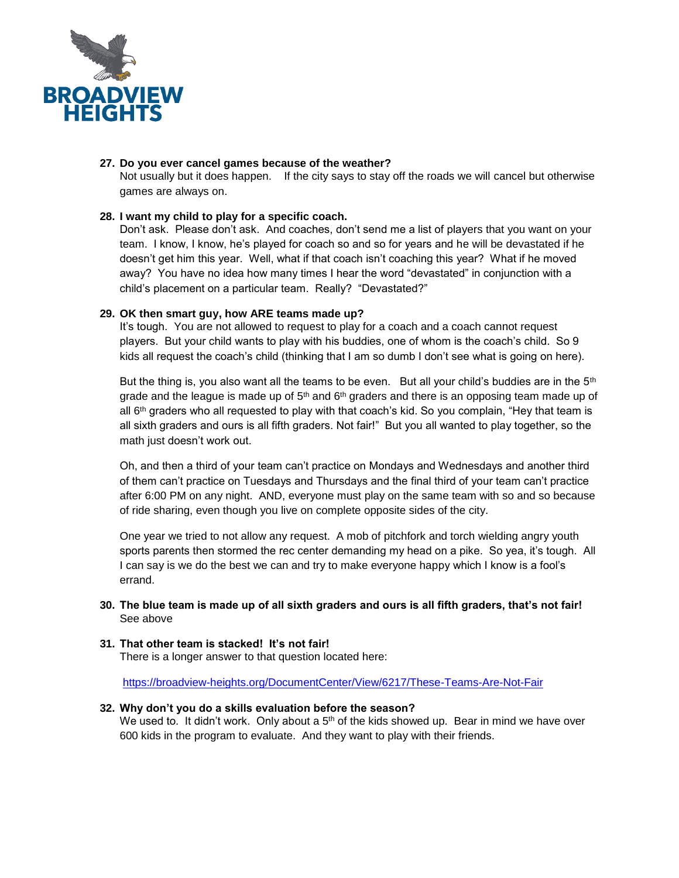

## **27. Do you ever cancel games because of the weather?**

Not usually but it does happen. If the city says to stay off the roads we will cancel but otherwise games are always on.

## **28. I want my child to play for a specific coach.**

Don't ask. Please don't ask. And coaches, don't send me a list of players that you want on your team. I know, I know, he's played for coach so and so for years and he will be devastated if he doesn't get him this year. Well, what if that coach isn't coaching this year? What if he moved away? You have no idea how many times I hear the word "devastated" in conjunction with a child's placement on a particular team. Really? "Devastated?"

## **29. OK then smart guy, how ARE teams made up?**

It's tough. You are not allowed to request to play for a coach and a coach cannot request players. But your child wants to play with his buddies, one of whom is the coach's child. So 9 kids all request the coach's child (thinking that I am so dumb I don't see what is going on here).

But the thing is, you also want all the teams to be even. But all your child's buddies are in the  $5<sup>th</sup>$ grade and the league is made up of  $5<sup>th</sup>$  and  $6<sup>th</sup>$  graders and there is an opposing team made up of all  $6<sup>th</sup>$  graders who all requested to play with that coach's kid. So you complain, "Hey that team is all sixth graders and ours is all fifth graders. Not fair!" But you all wanted to play together, so the math just doesn't work out.

Oh, and then a third of your team can't practice on Mondays and Wednesdays and another third of them can't practice on Tuesdays and Thursdays and the final third of your team can't practice after 6:00 PM on any night. AND, everyone must play on the same team with so and so because of ride sharing, even though you live on complete opposite sides of the city.

One year we tried to not allow any request. A mob of pitchfork and torch wielding angry youth sports parents then stormed the rec center demanding my head on a pike. So yea, it's tough. All I can say is we do the best we can and try to make everyone happy which I know is a fool's errand.

#### **30. The blue team is made up of all sixth graders and ours is all fifth graders, that's not fair!** See above

#### **31. That other team is stacked! It's not fair!**

There is a longer answer to that question located here:

<https://broadview-heights.org/DocumentCenter/View/6217/These-Teams-Are-Not-Fair>

#### **32. Why don't you do a skills evaluation before the season?**

We used to. It didn't work. Only about a  $5<sup>th</sup>$  of the kids showed up. Bear in mind we have over 600 kids in the program to evaluate. And they want to play with their friends.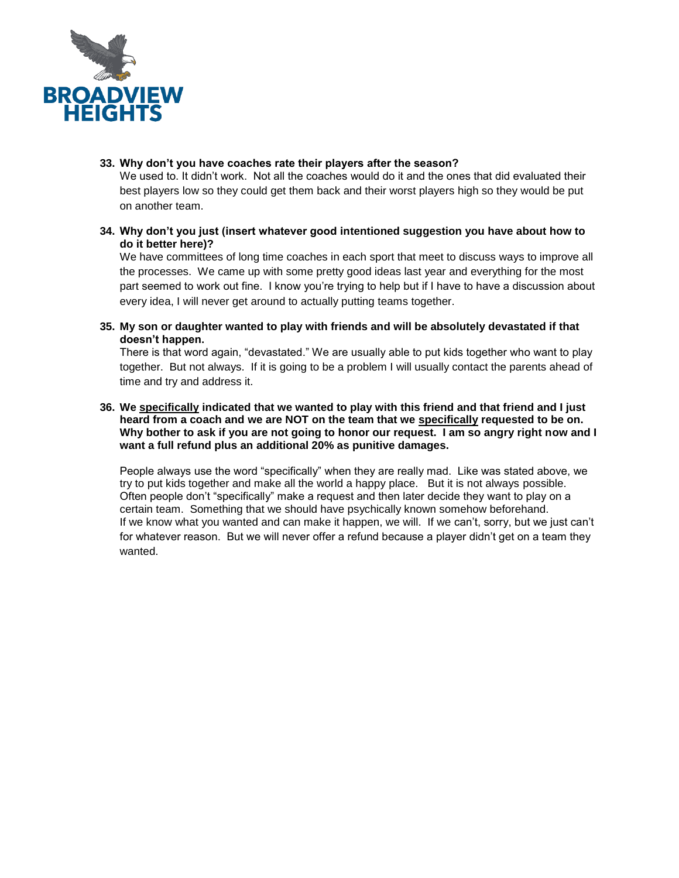

**33. Why don't you have coaches rate their players after the season?**

We used to. It didn't work. Not all the coaches would do it and the ones that did evaluated their best players low so they could get them back and their worst players high so they would be put on another team.

**34. Why don't you just (insert whatever good intentioned suggestion you have about how to do it better here)?**

We have committees of long time coaches in each sport that meet to discuss ways to improve all the processes. We came up with some pretty good ideas last year and everything for the most part seemed to work out fine. I know you're trying to help but if I have to have a discussion about every idea. I will never get around to actually putting teams together.

**35. My son or daughter wanted to play with friends and will be absolutely devastated if that doesn't happen.**

There is that word again, "devastated." We are usually able to put kids together who want to play together. But not always. If it is going to be a problem I will usually contact the parents ahead of time and try and address it.

**36. We specifically indicated that we wanted to play with this friend and that friend and I just heard from a coach and we are NOT on the team that we specifically requested to be on. Why bother to ask if you are not going to honor our request. I am so angry right now and I want a full refund plus an additional 20% as punitive damages.** 

People always use the word "specifically" when they are really mad. Like was stated above, we try to put kids together and make all the world a happy place. But it is not always possible. Often people don't "specifically" make a request and then later decide they want to play on a certain team. Something that we should have psychically known somehow beforehand. If we know what you wanted and can make it happen, we will. If we can't, sorry, but we just can't for whatever reason. But we will never offer a refund because a player didn't get on a team they wanted.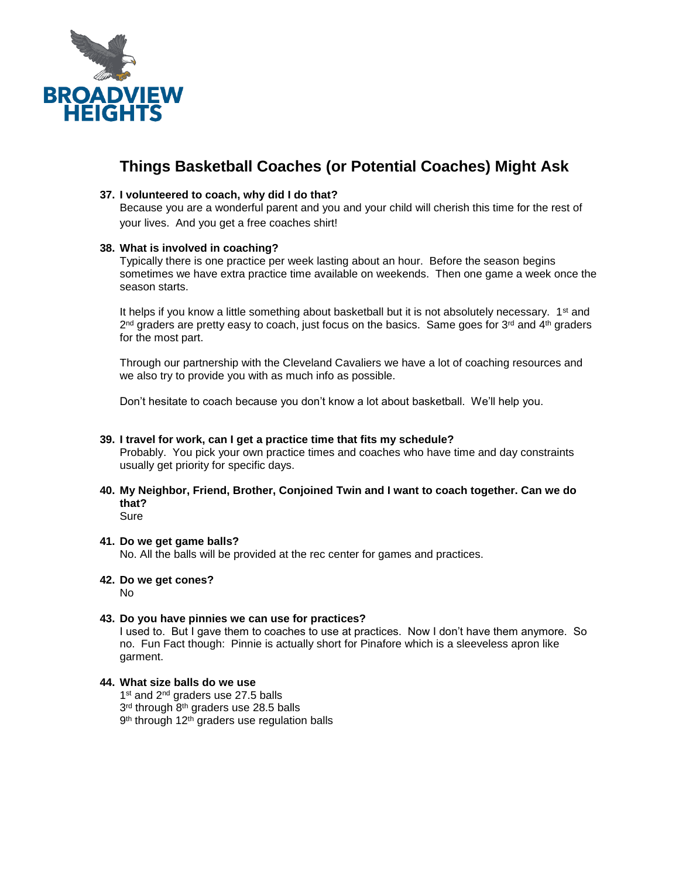

# **Things Basketball Coaches (or Potential Coaches) Might Ask**

## **37. I volunteered to coach, why did I do that?**

Because you are a wonderful parent and you and your child will cherish this time for the rest of your lives. And you get a free coaches shirt!

## **38. What is involved in coaching?**

Typically there is one practice per week lasting about an hour. Before the season begins sometimes we have extra practice time available on weekends. Then one game a week once the season starts.

It helps if you know a little something about basketball but it is not absolutely necessary. 1<sup>st</sup> and  $2^{nd}$  graders are pretty easy to coach, just focus on the basics. Same goes for 3<sup>rd</sup> and 4<sup>th</sup> graders for the most part.

Through our partnership with the Cleveland Cavaliers we have a lot of coaching resources and we also try to provide you with as much info as possible.

Don't hesitate to coach because you don't know a lot about basketball. We'll help you.

## **39. I travel for work, can I get a practice time that fits my schedule?**

Probably. You pick your own practice times and coaches who have time and day constraints usually get priority for specific days.

**40. My Neighbor, Friend, Brother, Conjoined Twin and I want to coach together. Can we do that?**

**Sure** 

## **41. Do we get game balls?**

No. All the balls will be provided at the rec center for games and practices.

## **42. Do we get cones?**

No

#### **43. Do you have pinnies we can use for practices?**

I used to. But I gave them to coaches to use at practices. Now I don't have them anymore. So no. Fun Fact though: Pinnie is actually short for Pinafore which is a sleeveless apron like garment.

## **44. What size balls do we use**

1<sup>st</sup> and 2<sup>nd</sup> graders use 27.5 balls

3<sup>rd</sup> through 8<sup>th</sup> graders use 28.5 balls

9<sup>th</sup> through 12<sup>th</sup> graders use regulation balls